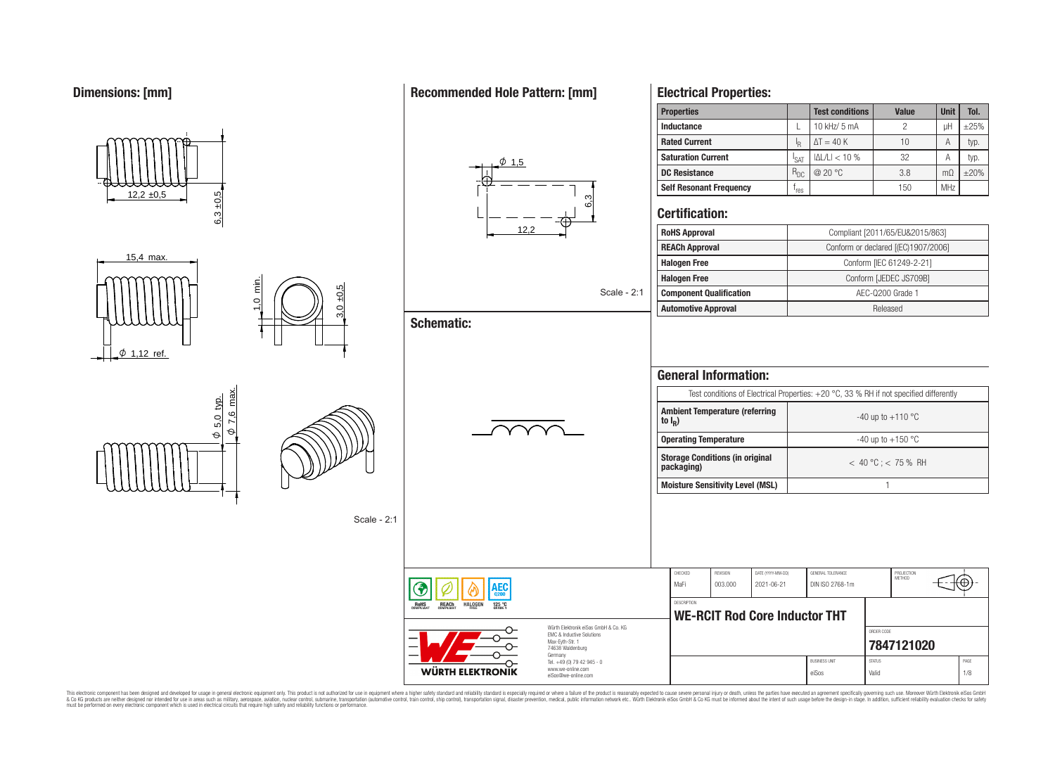### **Dimensions: [mm]**

#### **Inductance L L** 10 kHz/ 5 mA **decision c**  $\frac{1}{2}$  **c**  $\frac{1}{2}$  pH  $\frac{1}{2}$   $\frac{1}{2}$   $\frac{2}{3}$ **Rated Current I**  $R \mid \Delta I = 40 \text{ K}$  10 A typ. **Saturation Current I**  $_{\text{SAT}}$  | ΙΔL/LI < 10 %  $_{\text{32}}$  | A | typ.  $\phi$  1.5 **DC Resistance** R<sub>DC</sub> @ 20 °C 3.8 mΩ ±20% **Self Resonant Frequency** f res 150 MHz  $6,3 \pm 0.5$  $12.2 \pm 0.5$ <u>ო</u><br>0 **Certification:** 12,2 **RoHS Approval Compliant [2011/65/EU&2015/863] REACh Approval** Conform or declared [(EC)1907/2006] 15,4 max. **Halogen Free** Conform [IEC 61249-2-21] **Halogen Free** Conform [JEDEC JS709B]  $\frac{1}{2}$ 3,0 ±0,5 Scale - 2:1 **Component Qualification AEC-Q200 Grade 1 Automotive Approval Released Schematic:**  $\phi$  1.12 ref. **General Information:** Test conditions of Electrical Properties: +20 °C, 33 % RH if not specified differently max.  $\frac{\varphi}{\sqrt{5}}$ .0 typ. **Ambient Temperature (referring** 7,6  $-40$  up to  $+110$  °C 5,0 **to I<sup>R</sup> )**  $\Theta$  $\Theta$ **Operating Temperature discriming Temperature**  $-40 \text{ up to } +150 \text{ °C}$ **Storage Conditions (in original packaging)** < 40 °C ; < 75 % RH **Moisture Sensitivity Level (MSL)** 1 Scale - 2:1 CHECKED REVISION DATE (YYYY-MM-DD) GENERAL TOLERANCE PROJECTION<br>METHOD MaFi 003.000 2021-06-21 DIN ISO 2768-1m ŒΟ **DESCRIPTION** RoHS  $125<sup>o</sup>$ **HALOGEN WE-RCIT Rod Core Inductor THT** Würth Elektronik eiSos GmbH & Co. KG ORDER CODE EMC & Inductive Solutions Max-Eyth-Str. 1 **[7847121020](https://www.we-online.com/catalog/en/article/7847121020)** 74638 Waldenburg Germany Tel. +49 (0) 79 42 945 - 0 BUSINESS UNIT STATUS STATUS STATUS AND STATUS AND STATUS STATUS STATUS AND STATUS STATUS STATUS STATUS AND STATUS STATUS AND STATUS AND STATUS AND STATUS AND STATUS AND STATUS AND STATUS AND STATUS AND STATUS AND STATUS AN www.we-online.com **WÜRTH ELEKTRONIK** eiSos Valid 1/8 eiSos@we-online.com

This electronic component has been designed and developed for usage in general electronic equipment only. This product is not authorized for subserved requipment where a higher selection equipment where a higher selection

### **Recommended Hole Pattern: [mm]**

**Electrical Properties:**

| ------------------------       |                  |                        |              |                |            |
|--------------------------------|------------------|------------------------|--------------|----------------|------------|
| <b>Properties</b>              |                  | <b>Test conditions</b> | <b>Value</b> | <b>Unit</b>    | Tol.       |
| Inductance                     |                  | 10 kHz/ 5 mA           | 2            | uН             | $\pm 25%$  |
| <b>Rated Current</b>           | ŀR               | $\Delta T = 40 K$      | 10           | А              | typ.       |
| <b>Saturation Current</b>      | <sup>I</sup> SAT | $ \Delta L/L  < 10$ %  | 32           | А              | typ.       |
| <b>DC Resistance</b>           | $R_{DC}$         | @ 20 °C                | 3.8          | m <sub>O</sub> | $\pm 20\%$ |
| <b>Self Resonant Frequency</b> | res              |                        | 150          | <b>MHz</b>     |            |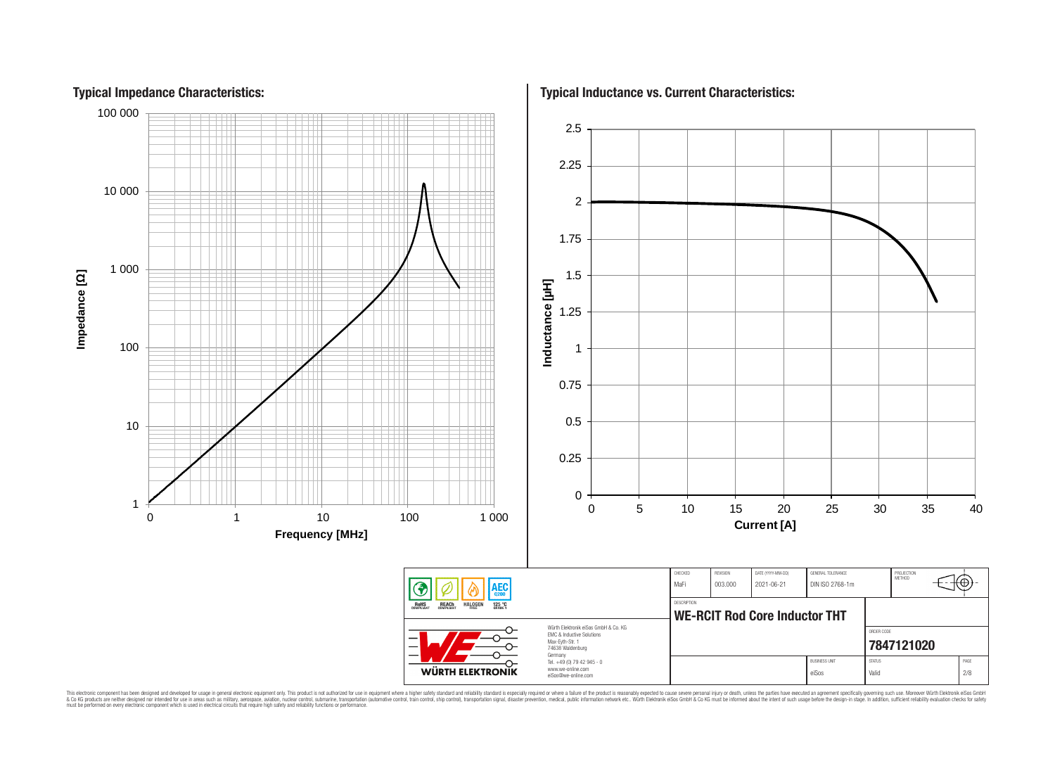

This electronic component has been designed and developed for usage in general electronic equipment only. This product is not authorized for subserved requipment where a higher selection equipment where a higher selection

Impedance [Q]

### **Typical Impedance Characteristics:**

**Typical Inductance vs. Current Characteristics:**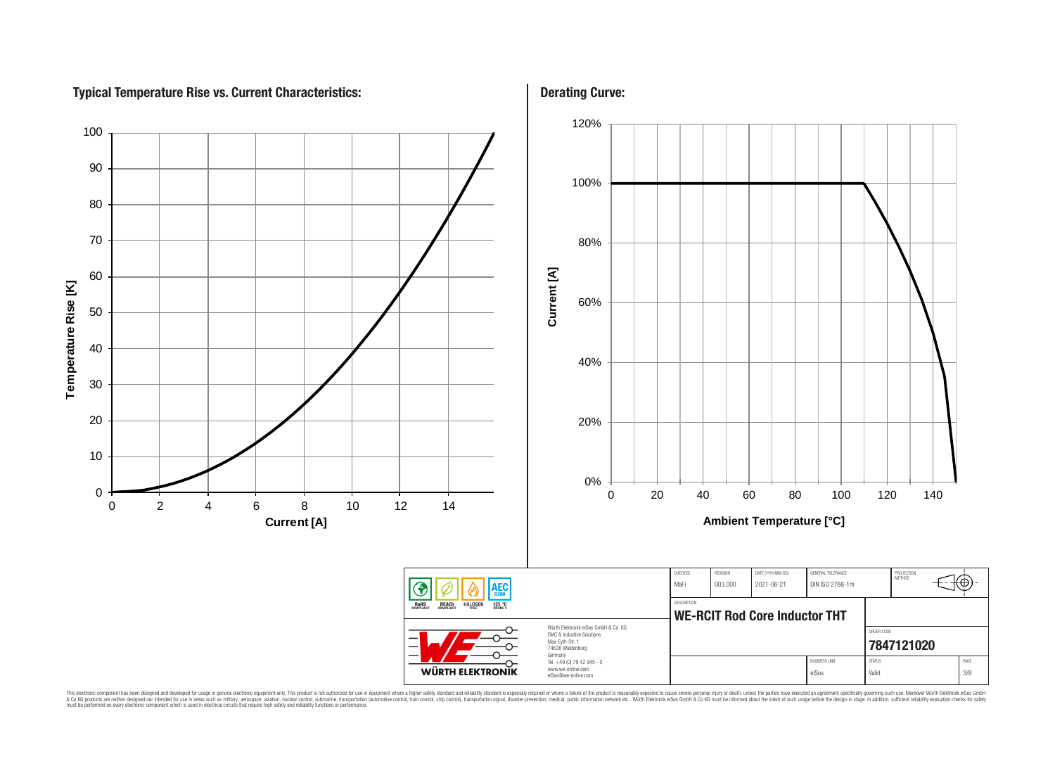# **Typical Temperature Rise vs. Current Characteristics:**



This electronic component has been designed and developed for usage in general electronic equipment only. This product is not authorized for subserved requipment where a higher selection equipment where a higher selection

### **Derating Curve:**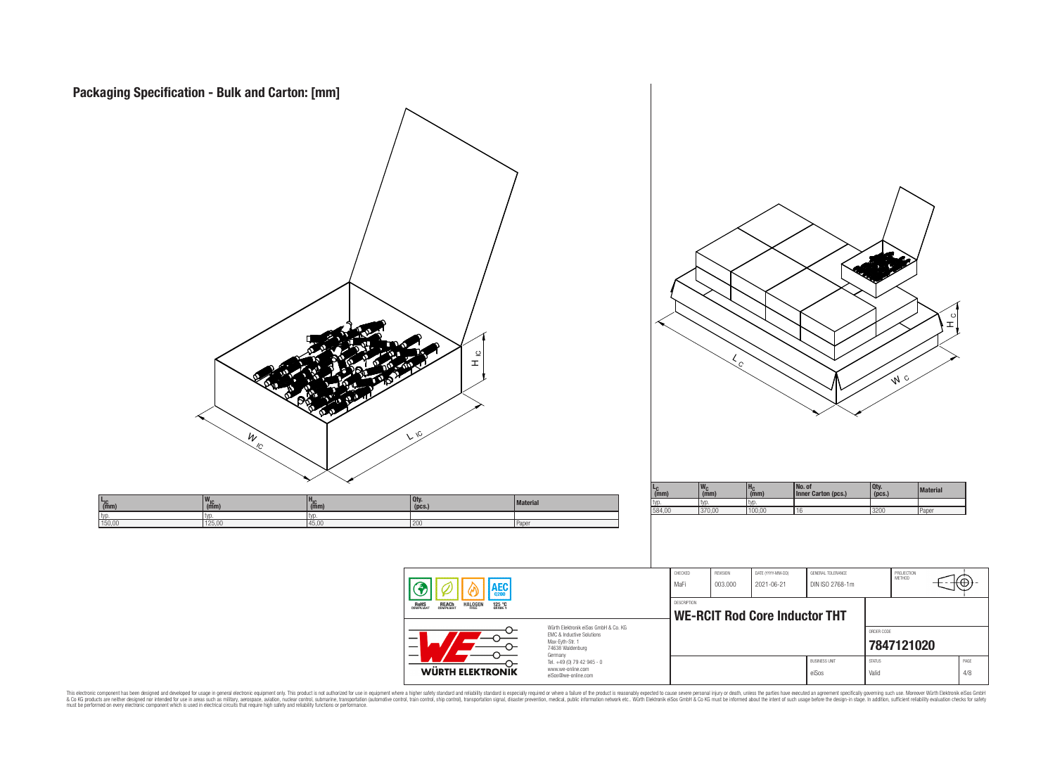

This electronic component has been designed and developed for usage in general electronic equipment only. This product is not authorized for subserved requipment where a higher selection equipment where a higher selection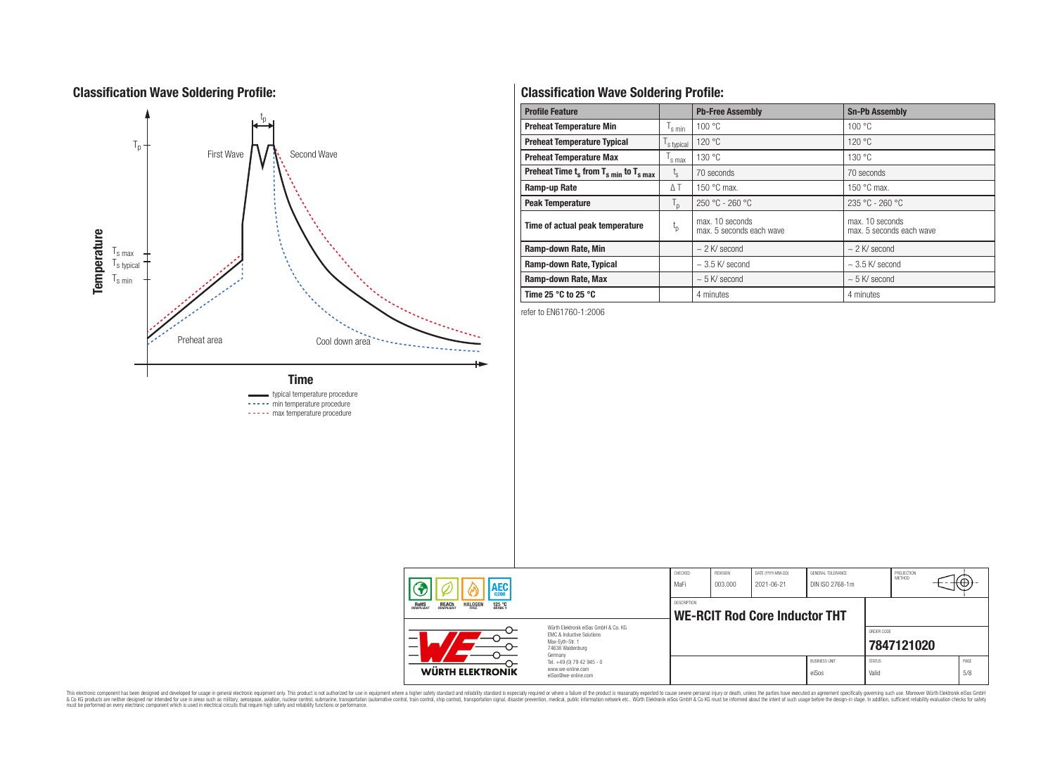### **Classification Wave Soldering Profile:**



----- max temperature procedure

### **Classification Wave Soldering Profile:**

| <b>Profile Feature</b>                                               |                               | <b>Pb-Free Assembly</b>                     | <b>Sn-Pb Assembly</b>                       |  |  |
|----------------------------------------------------------------------|-------------------------------|---------------------------------------------|---------------------------------------------|--|--|
| <b>Preheat Temperature Min</b>                                       | $\mathsf{I}_{\mathsf{S}}$ min | 100 °C                                      | 100 °C                                      |  |  |
| <b>Preheat Temperature Typical</b>                                   | s typical                     | 120 °C                                      | 120 °C                                      |  |  |
| <b>Preheat Temperature Max</b>                                       | s max                         | 130 °C                                      | 130 °C                                      |  |  |
| Preheat Time $t_s$ from $T_s$ <sub>min</sub> to $T_s$ <sub>max</sub> | $I_{\rm S}$                   | 70 seconds                                  | 70 seconds                                  |  |  |
| Ramp-up Rate                                                         | $\Delta T$                    | 150 $\degree$ C max.                        | 150 $\degree$ C max.                        |  |  |
| $T_{\text{d}}$<br><b>Peak Temperature</b>                            |                               | $250 °C - 260 °C$                           | 235 °C - 260 °C                             |  |  |
| Time of actual peak temperature                                      | $t_{p}$                       | max. 10 seconds<br>max. 5 seconds each wave | max. 10 seconds<br>max. 5 seconds each wave |  |  |
| Ramp-down Rate, Min                                                  |                               | $\sim$ 2 K/ second                          | $\sim$ 2 K/ second                          |  |  |
| Ramp-down Rate, Typical                                              |                               | $\sim$ 3.5 K/ second                        | $\sim$ 3.5 K/ second                        |  |  |
| Ramp-down Rate, Max                                                  |                               | $\sim$ 5 K/ second                          | $\sim$ 5 K/ second                          |  |  |
| Time 25 $^{\circ}$ C to 25 $^{\circ}$ C                              |                               | 4 minutes                                   | 4 minutes                                   |  |  |

refer to EN61760-1:2006

| <b>AEC</b><br>0200                                                                                                       |                                                                        | CHECKED<br>MaFi    | REVISION<br>003.000 | DATE (YYYY-MM-DD)<br>2021-06-21      | GENERAL TOLERANCE<br>DIN ISO 2768-1m |                          | PROJECTION<br><b>METHOD</b> | πΨ          |
|--------------------------------------------------------------------------------------------------------------------------|------------------------------------------------------------------------|--------------------|---------------------|--------------------------------------|--------------------------------------|--------------------------|-----------------------------|-------------|
| <b>REACH</b><br>COMPLIANT<br><b>ROHS</b><br>COMPLIANT<br><b>HALOGEN</b><br>125 °C<br>GRADE 1                             |                                                                        | <b>DESCRIPTION</b> |                     | <b>WE-RCIT Rod Core Inductor THT</b> |                                      |                          |                             |             |
| Würth Flektronik eiSos GmbH & Co. KG<br>EMC & Inductive Solutions<br>Max-Eyth-Str. 1<br>-<br>74638 Waldenburg<br>Germany |                                                                        |                    |                     |                                      |                                      | ORDER CODE<br>7847121020 |                             |             |
| WÜRTH ELEKTRONIK                                                                                                         | Tel. +49 (0) 79 42 945 - 0<br>www.we-online.com<br>eiSos@we-online.com |                    |                     |                                      | <b>BUSINESS UNIT</b><br>eiSos        | <b>STATUS</b><br>Valid   |                             | PAGE<br>5/8 |

This electronic component has been designed and developed for usage in general electronic equipment only. This product is not authorized for subserved requipment where a higher selection equipment where a higher selection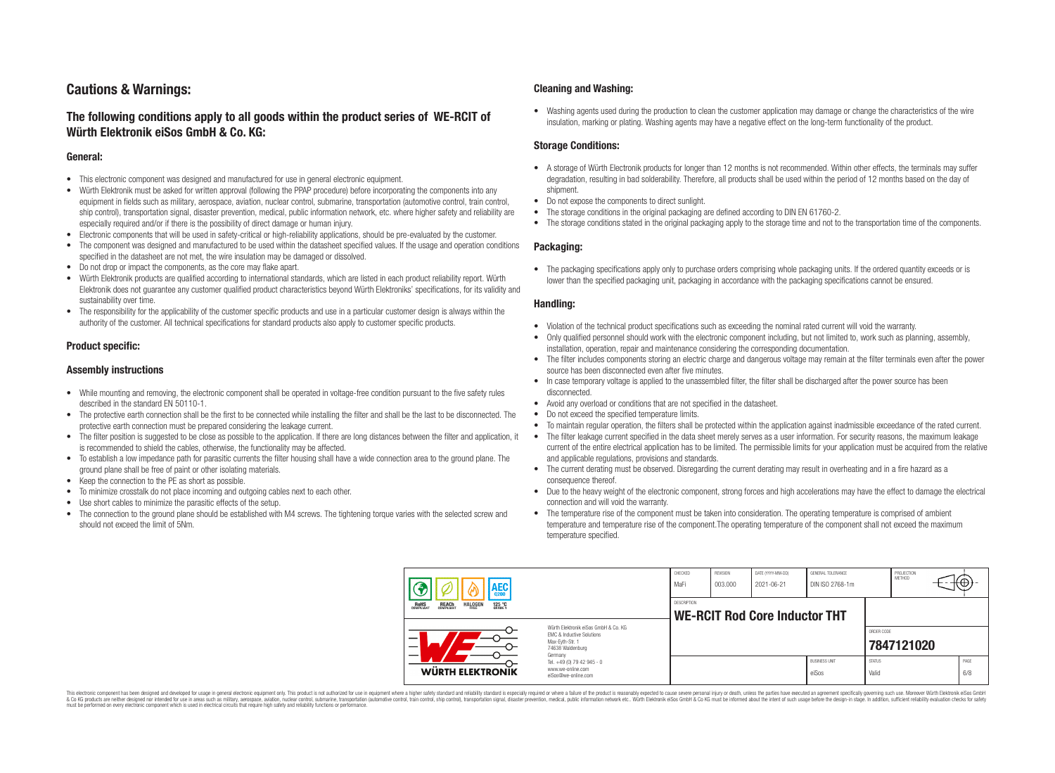## **Cautions & Warnings:**

### **The following conditions apply to all goods within the product series of WE-RCIT of Würth Elektronik eiSos GmbH & Co. KG:**

#### **General:**

- This electronic component was designed and manufactured for use in general electronic equipment.
- Würth Elektronik must be asked for written approval (following the PPAP procedure) before incorporating the components into any equipment in fields such as military, aerospace, aviation, nuclear control, submarine, transportation (automotive control, train control, ship control), transportation signal, disaster prevention, medical, public information network, etc. where higher safety and reliability are especially required and/or if there is the possibility of direct damage or human injury.
- Electronic components that will be used in safety-critical or high-reliability applications, should be pre-evaluated by the customer.
- The component was designed and manufactured to be used within the datasheet specified values. If the usage and operation conditions specified in the datasheet are not met, the wire insulation may be damaged or dissolved.
- Do not drop or impact the components, as the core may flake apart.
- Würth Elektronik products are qualified according to international standards, which are listed in each product reliability report. Würth Elektronik does not guarantee any customer qualified product characteristics beyond Würth Elektroniks' specifications, for its validity and sustainability over time.
- The responsibility for the applicability of the customer specific products and use in a particular customer design is always within the authority of the customer. All technical specifications for standard products also apply to customer specific products.

### **Product specific:**

#### **Assembly instructions**

- While mounting and removing, the electronic component shall be operated in voltage-free condition pursuant to the five safety rules described in the standard EN 50110-1.
- The protective earth connection shall be the first to be connected while installing the filter and shall be the last to be disconnected. The protective earth connection must be prepared considering the leakage current.
- The filter position is suggested to be close as possible to the application. If there are long distances between the filter and application, it is recommended to shield the cables, otherwise, the functionality may be affected.
- To establish a low impedance path for parasitic currents the filter housing shall have a wide connection area to the ground plane. The ground plane shall be free of paint or other isolating materials.
- Keep the connection to the PE as short as possible.
- To minimize crosstalk do not place incoming and outgoing cables next to each other.
- Use short cables to minimize the parasitic effects of the setup.
- The connection to the ground plane should be established with M4 screws. The tightening torque varies with the selected screw and should not exceed the limit of 5Nm.

#### **Cleaning and Washing:**

• Washing agents used during the production to clean the customer application may damage or change the characteristics of the wire insulation, marking or plating. Washing agents may have a negative effect on the long-term functionality of the product.

#### **Storage Conditions:**

- A storage of Würth Electronik products for longer than 12 months is not recommended. Within other effects, the terminals may suffer degradation, resulting in bad solderability. Therefore, all products shall be used within the period of 12 months based on the day of shipment.
- Do not expose the components to direct sunlight.
- The storage conditions in the original packaging are defined according to DIN EN 61760-2.
- The storage conditions stated in the original packaging apply to the storage time and not to the transportation time of the components.

#### **Packaging:**

• The packaging specifications apply only to purchase orders comprising whole packaging units. If the ordered quantity exceeds or is lower than the specified packaging unit, packaging in accordance with the packaging specifications cannot be ensured.

#### **Handling:**

- Violation of the technical product specifications such as exceeding the nominal rated current will void the warranty.
- Only qualified personnel should work with the electronic component including, but not limited to, work such as planning, assembly, installation, operation, repair and maintenance considering the corresponding documentation.
- The filter includes components storing an electric charge and dangerous voltage may remain at the filter terminals even after the power source has been disconnected even after five minutes.
- In case temporary voltage is applied to the unassembled filter, the filter shall be discharged after the power source has been disconnected.
- Avoid any overload or conditions that are not specified in the datasheet.
- Do not exceed the specified temperature limits.
- To maintain regular operation, the filters shall be protected within the application against inadmissible exceedance of the rated current.
- The filter leakage current specified in the data sheet merely serves as a user information. For security reasons, the maximum leakage current of the entire electrical application has to be limited. The permissible limits for your application must be acquired from the relative and applicable regulations, provisions and standards.
- The current derating must be observed. Disregarding the current derating may result in overheating and in a fire hazard as a consequence thereof.
- Due to the heavy weight of the electronic component, strong forces and high accelerations may have the effect to damage the electrical connection and will void the warranty.
- The temperature rise of the component must be taken into consideration. The operating temperature is comprised of ambient temperature and temperature rise of the component.The operating temperature of the component shall not exceed the maximum temperature specified.

| <b>AEC</b>                                                                 |                                                                                                                     | CHECKED<br>MaFi | <b>REVISION</b><br>  003.000 | DATE (YYYY-MM-DD)<br>2021-06-21      | GENERAL TOLERANCE<br>DIN ISO 2768-1m |                        | PROJECTION<br>METHOD | ţ⊕          |
|----------------------------------------------------------------------------|---------------------------------------------------------------------------------------------------------------------|-----------------|------------------------------|--------------------------------------|--------------------------------------|------------------------|----------------------|-------------|
| ROHS<br>COMPLIANT<br><b>REACH</b><br>COMPLIANT<br><b>HALOGEN</b><br>125 °C |                                                                                                                     | DESCRIPTION     |                              | <b>WE-RCIT Rod Core Inductor THT</b> |                                      |                        |                      |             |
| —                                                                          | Würth Flektronik eiSos GmbH & Co. KG<br>EMC & Inductive Solutions<br>Max-Evth-Str. 1<br>74638 Waldenburg<br>Germany |                 |                              |                                      |                                      | ORDER CODE             | 7847121020           |             |
| <b>WÜRTH ELEKTRONIK</b>                                                    | Tel. +49 (0) 79 42 945 - 0<br>www.we-online.com<br>eiSos@we-online.com                                              |                 |                              |                                      | <b>BUSINESS UNIT</b><br>eiSos        | <b>STATUS</b><br>Valid |                      | PAGE<br>6/8 |

This electronic component has been designed and developed for usage in general electronic equipment only. This product is not authorized for use in equipment where a higher safety standard and reliability standard is espec & Ook product a label and the membed of the seasuch as marked and as which such a membed and the such assume that income in the seasuch and the simulation and the such assume that include to the such a membed and the such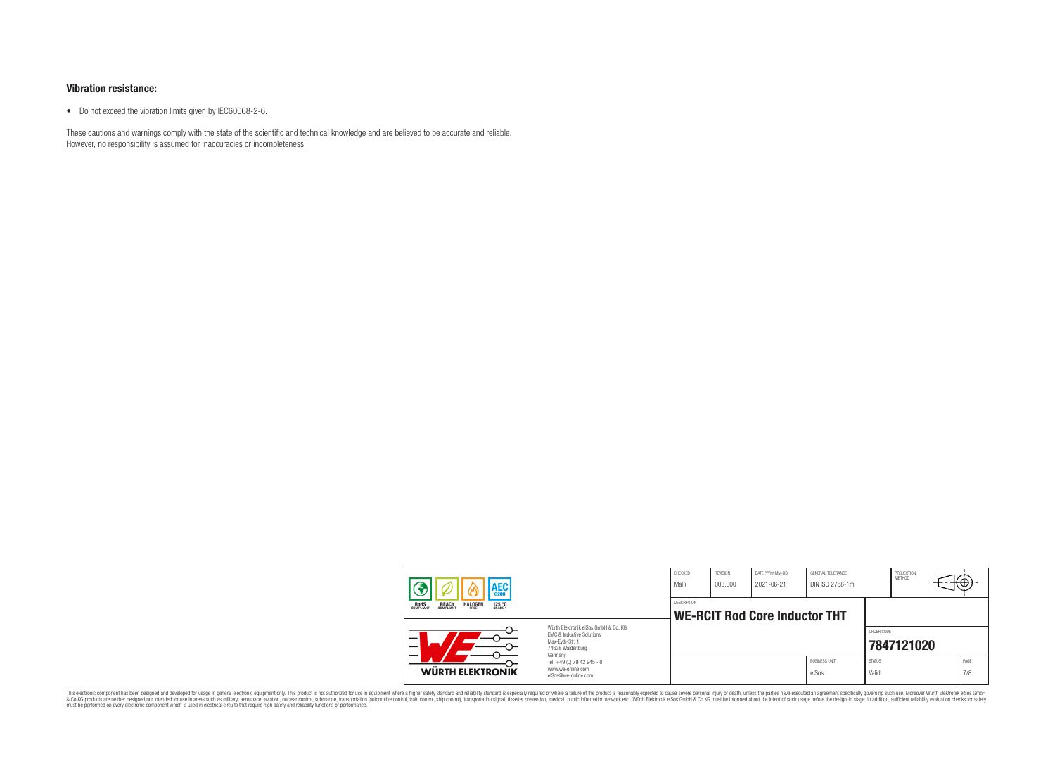#### **Vibration resistance:**

• Do not exceed the vibration limits given by IEC60068-2-6.

These cautions and warnings comply with the state of the scientific and technical knowledge and are believed to be accurate and reliable. However, no responsibility is assumed for inaccuracies or incompleteness.

| AEC                                                                                                                      |                                                                        | CHECKED<br>MaFi                                     | REVISION<br>003.000 | DATE (YYYY-MM-DD)<br>2021-06-21 | GENERAL TOLERANCE<br>DIN ISO 2768-1m |                        | PROJECTION<br>METHOD | ₩           |
|--------------------------------------------------------------------------------------------------------------------------|------------------------------------------------------------------------|-----------------------------------------------------|---------------------|---------------------------------|--------------------------------------|------------------------|----------------------|-------------|
| <b>HALOGEN</b><br>125 °C<br>GRADE 1<br>REACH<br>COMPLIANT<br><b>ROHS</b><br>COMPLIANT<br>FRFF                            |                                                                        | DESCRIPTION<br><b>WE-RCIT Rod Core Inductor THT</b> |                     |                                 |                                      |                        |                      |             |
| Würth Elektronik eiSos GmbH & Co. KG<br>EMC & Inductive Solutions<br>Max-Eyth-Str. 1<br>_<br>74638 Waldenburg<br>Germany |                                                                        |                                                     |                     |                                 |                                      | ORDER CODE             | 7847121020           |             |
| WÜRTH ELEKTRONIK                                                                                                         | Tel. +49 (0) 79 42 945 - 0<br>www.we-online.com<br>eiSos@we-online.com |                                                     |                     |                                 | <b>BUSINESS UNIT</b><br>eiSos        | <b>STATUS</b><br>Valid |                      | PAGE<br>7/8 |

This electronic component has been designed and developed for usage in general electronic equipment only. This product is not authorized for subserved requipment where a higher selection equipment where a higher selection